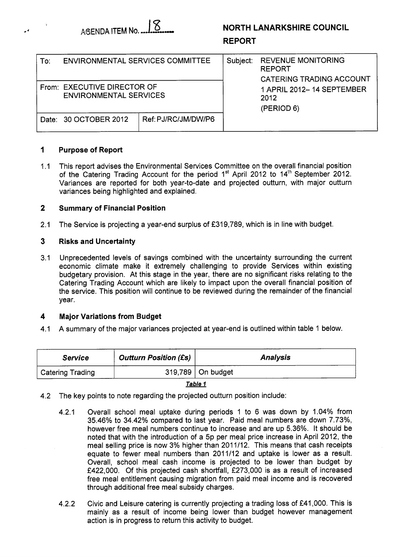

# **NORTH LANARKSHIRE COUNCIL**

# **REPORT**

| To: | ENVIRONMENTAL SERVICES COMMITTEE                             |                     | Subject: | <b>REVENUE MONITORING</b><br><b>REPORT</b><br><b>CATERING TRADING ACCOUNT</b><br>1 APRIL 2012– 14 SEPTEMBER<br>2012<br>(PERIOD 6) |  |  |
|-----|--------------------------------------------------------------|---------------------|----------|-----------------------------------------------------------------------------------------------------------------------------------|--|--|
|     | From: EXECUTIVE DIRECTOR OF<br><b>ENVIRONMENTAL SERVICES</b> |                     |          |                                                                                                                                   |  |  |
|     | Date: 30 OCTOBER 2012                                        | Ref: PJ/RC/JM/DW/P6 |          |                                                                                                                                   |  |  |

### **1 Purpose of Report**

.'

**1 .I**  This report advises the Environmental Services Committee on the overall financial position of the Catering Trading Account for the period **1"** April **2012** to **14th** September **2012.**  Variances are reported for both year-to-date and projected outturn, with major outturn variances being highlighted and explained.

#### **2 Summary of Financial Position**

**2.1**  The Service is projecting a year-end surplus of **f319,789,** which is in line with budget.

#### **3 Risks and Uncertainty**

**3.1**  Unprecedented levels of savings combined with the uncertainty surrounding the current economic climate make it extremely challenging to provide Services within existing budgetary provision. At this stage in the year, there are no significant risks relating to the Catering Trading Account which are likely to impact upon the overall financial position of the service. This position will continue to be reviewed during the remainder of the financial year.

#### **4 Major Variations from Budget**

**4.1**  A summary of the major variances projected at year-end is outlined within table **1** below.

| <b>Service</b>          | <b>Outturn Position (£s)</b> | <b>Analysis</b>       |
|-------------------------|------------------------------|-----------------------|
| <b>Catering Trading</b> |                              | $319,789$   On budget |

*Table I* 

- **4.2** The key points to note regarding the projected outturn position include:
	- **4.2.1** Overall school meal uptake during periods **1** to 6 was down by **1.04%** from **35.46%** to **34.42%** compared to last year. Paid meal numbers are down **7.73%,**  however free meal numbers continue to increase and are up **5.36%.** It should be noted that with the introduction of a 5p per meal price increase in April **2012,** the meal selling price is now **3%** higher than **201 1/12.** This means that cash receipts equate to fewer meal numbers than **2011/12** and uptake is lower as a result. Overall, school meal cash income is projected to be lower than budget by **f422,OOO.** Of this projected cash shortfall, **f273,OOO** is as a result of increased free meal entitlement causing migration from paid meal income and is recovered through additional free meal subsidy charges.
	- **4.2.2** Civic and Leisure catering is currently projecting a trading loss of **f41,OOO.** This is mainly as a result of income being lower than budget however management action is in progress to return this activity to budget.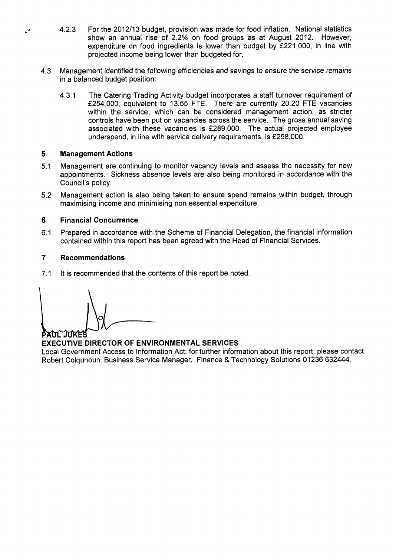- 4.2.3 For the 2012/13 budget, provision was made for food inflation. National statistics show an annual rise of 2.2% on food groups as at August 2012. However, expenditure on food ingredients is lower than budget by f221,000, in line with projected income being lower than budgeted for.
- 4.3 Management identified the following efficiencies and savings *to* ensure the service remains in a balanced budget position:
	- 4.3.1 The Catering Trading Activity budget incorporates a staff turnover requirement of €254,000, equivalent to 13.55 FTE. There are currently 20.20 FTE vacancies within the service, which can be considered management action, as stricter controls have been put on vacancies across the service. The gross annual saving associated with these vacancies is f289,OOO. The actual projected employee underspend, in line with service delivery requirements, is f258,OOO.

#### **5 Management Actions**

**I,'** 

- 5.1 Management are continuing to monitor vacancy levels and assess the necessity for new appointments. Sickness absence levels are also being monitored in accordance with the Council's policy.
- 5.2 Management action is also being taken to ensure spend remains within budget, through maximising income and minimising non essential expenditure.

#### **6 Financial Concurrence**

6.1 Prepared in accordance with the Scheme of Financial Delegation, the financial information contained within this report has been agreed with the Head of Financial Services.

#### **7 Recommendations**

7.1 It is recommended that the contents of this report be noted.

PAUL JUKE!

# **EXECUTIVE DIRECTOR OF ENVIRONMENTAL SERVICES**

Local Government Access to Information Act: for further information about this report, please contact Robert Colquhoun, Business Service Manager, Finance & Technology Solutions 01236 632444.